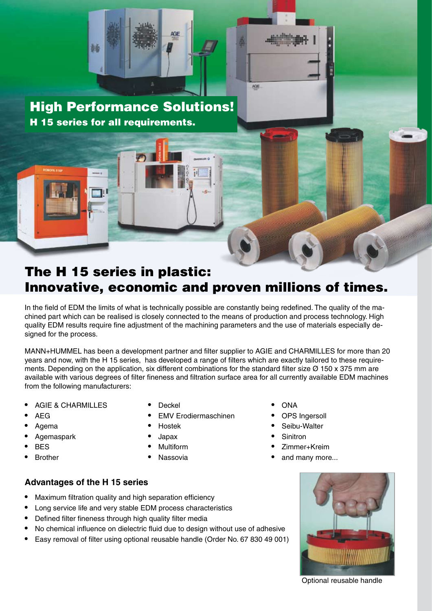

High Performance Solutions! H 15 series for all requirements.

## The H 15 series in plastic: Innovative, economic and proven millions of times.

AGE

In the field of EDM the limits of what is technically possible are constantly being redefined. The quality of the machined part which can be realised is closely connected to the means of production and process technology. High quality EDM results require fine adjustment of the machining parameters and the use of materials especially designed for the process.

MANN+HUMMEL has been a development partner and filter supplier to AGIE and CHARMILLES for more than 20 years and now, with the H 15 series, has developed a range of filters which are exactly tailored to these requirements. Depending on the application, six different combinations for the standard filter size  $\varnothing$  150 x 375 mm are available with various degrees of filter fineness and filtration surface area for all currently available EDM machines from the following manufacturers:

- AGIE & CHARMILLES Deckel ONA
- 
- 
- **•** *Agemaspark* **<b>•** *Agemaspark* **1 • 3 • Sinitron**
- 
- 
- 
- AEG EMV Erodiermaschinen OPS Ingersoll
	-
	-
	-
	-
- 
- 
- Agema Hostek Seibu-Walter
	-
- Multiform  **• Property Administrative Multiform <b>•** Zimmer+Kreim
- **•** Nassovia **• 1 • A 1 • 1 • 1 • 1 • 1 • 1 • 1 • 1 • 1 • 1 • 1 • 1 • 1 • 1 • 1 • 1 • 1 • 1 • 1 • 1 • • 1 • • 1 • • •**

## **Advantages of the H 15 series**

- Maximum filtration quality and high separation efficiency
- Long service life and very stable EDM process characteristics
- Defined filter fineness through high quality filter media
- No chemical influence on dielectric fluid due to design without use of adhesive
- Easy removal of filter using optional reusable handle (Order No. 67 830 49 001)



ł

Optional reusable handle